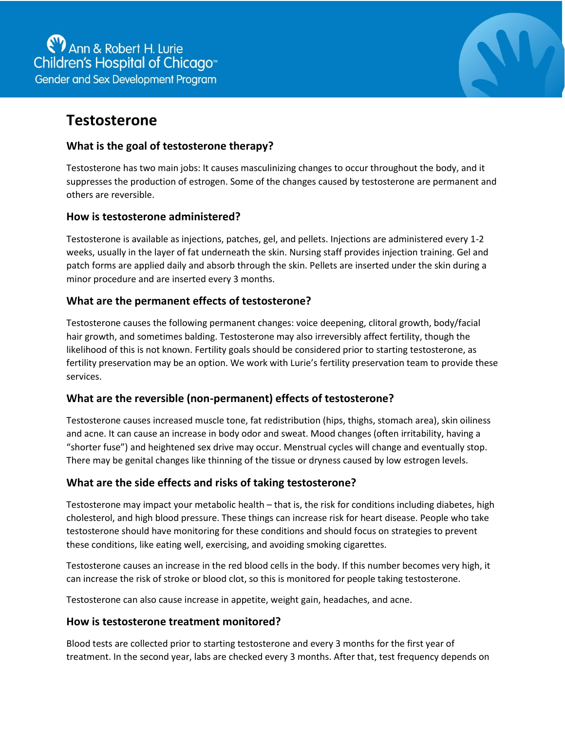

# **Testosterone**

## **What is the goal of testosterone therapy?**

Testosterone has two main jobs: It causes masculinizing changes to occur throughout the body, and it suppresses the production of estrogen. Some of the changes caused by testosterone are permanent and others are reversible.

## **How is testosterone administered?**

Testosterone is available as injections, patches, gel, and pellets. Injections are administered every 1-2 weeks, usually in the layer of fat underneath the skin. Nursing staff provides injection training. Gel and patch forms are applied daily and absorb through the skin. Pellets are inserted under the skin during a minor procedure and are inserted every 3 months.

## **What are the permanent effects of testosterone?**

Testosterone causes the following permanent changes: voice deepening, clitoral growth, body/facial hair growth, and sometimes balding. Testosterone may also irreversibly affect fertility, though the likelihood of this is not known. Fertility goals should be considered prior to starting testosterone, as fertility preservation may be an option. We work with Lurie's fertility preservation team to provide these services.

## **What are the reversible (non-permanent) effects of testosterone?**

Testosterone causes increased muscle tone, fat redistribution (hips, thighs, stomach area), skin oiliness and acne. It can cause an increase in body odor and sweat. Mood changes (often irritability, having a "shorter fuse") and heightened sex drive may occur. Menstrual cycles will change and eventually stop. There may be genital changes like thinning of the tissue or dryness caused by low estrogen levels.

### **What are the side effects and risks of taking testosterone?**

Testosterone may impact your metabolic health – that is, the risk for conditions including diabetes, high cholesterol, and high blood pressure. These things can increase risk for heart disease. People who take testosterone should have monitoring for these conditions and should focus on strategies to prevent these conditions, like eating well, exercising, and avoiding smoking cigarettes.

Testosterone causes an increase in the red blood cells in the body. If this number becomes very high, it can increase the risk of stroke or blood clot, so this is monitored for people taking testosterone.

Testosterone can also cause increase in appetite, weight gain, headaches, and acne.

### **How is testosterone treatment monitored?**

Blood tests are collected prior to starting testosterone and every 3 months for the first year of treatment. In the second year, labs are checked every 3 months. After that, test frequency depends on